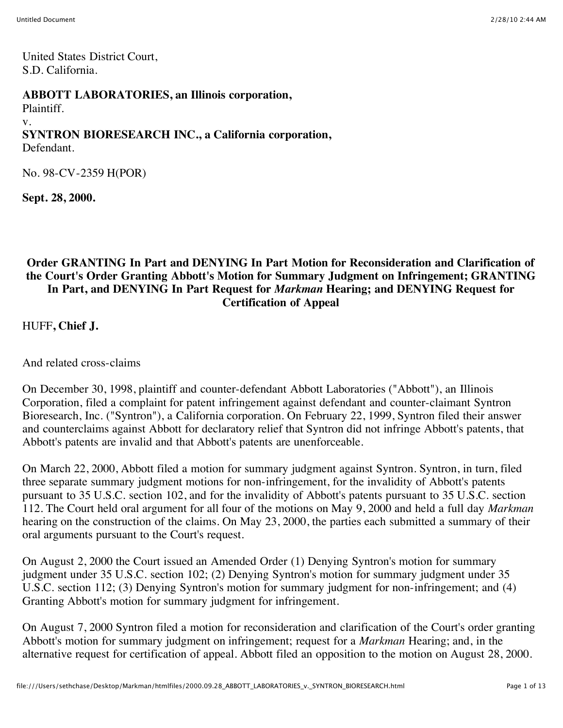United States District Court, S.D. California.

#### **ABBOTT LABORATORIES, an Illinois corporation,**

Plaintiff.

#### v.

# **SYNTRON BIORESEARCH INC., a California corporation,**

Defendant.

No. 98-CV-2359 H(POR)

**Sept. 28, 2000.**

### **Order GRANTING In Part and DENYING In Part Motion for Reconsideration and Clarification of the Court's Order Granting Abbott's Motion for Summary Judgment on Infringement; GRANTING In Part, and DENYING In Part Request for** *Markman* **Hearing; and DENYING Request for Certification of Appeal**

HUFF**, Chief J.**

And related cross-claims

On December 30, 1998, plaintiff and counter-defendant Abbott Laboratories ("Abbott"), an Illinois Corporation, filed a complaint for patent infringement against defendant and counter-claimant Syntron Bioresearch, Inc. ("Syntron"), a California corporation. On February 22, 1999, Syntron filed their answer and counterclaims against Abbott for declaratory relief that Syntron did not infringe Abbott's patents, that Abbott's patents are invalid and that Abbott's patents are unenforceable.

On March 22, 2000, Abbott filed a motion for summary judgment against Syntron. Syntron, in turn, filed three separate summary judgment motions for non-infringement, for the invalidity of Abbott's patents pursuant to 35 U.S.C. section 102, and for the invalidity of Abbott's patents pursuant to 35 U.S.C. section 112. The Court held oral argument for all four of the motions on May 9, 2000 and held a full day *Markman* hearing on the construction of the claims. On May 23, 2000, the parties each submitted a summary of their oral arguments pursuant to the Court's request.

On August 2, 2000 the Court issued an Amended Order (1) Denying Syntron's motion for summary judgment under 35 U.S.C. section 102; (2) Denying Syntron's motion for summary judgment under 35 U.S.C. section 112; (3) Denying Syntron's motion for summary judgment for non-infringement; and (4) Granting Abbott's motion for summary judgment for infringement.

On August 7, 2000 Syntron filed a motion for reconsideration and clarification of the Court's order granting Abbott's motion for summary judgment on infringement; request for a *Markman* Hearing; and, in the alternative request for certification of appeal. Abbott filed an opposition to the motion on August 28, 2000.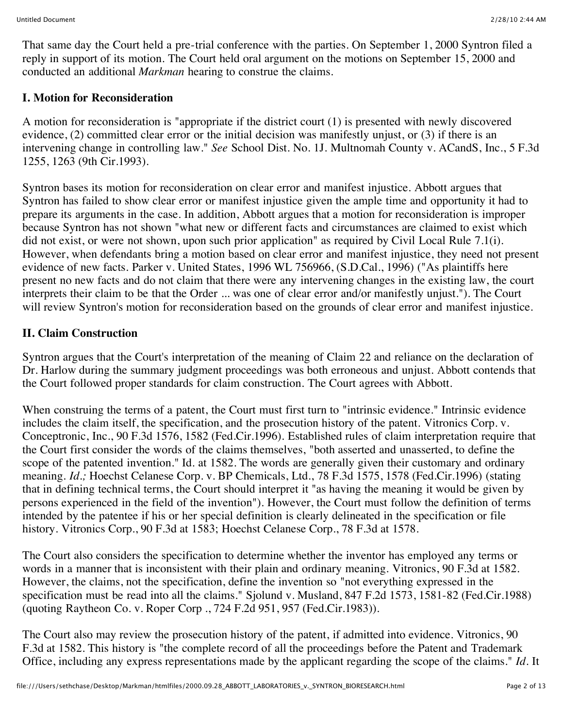That same day the Court held a pre-trial conference with the parties. On September 1, 2000 Syntron filed a reply in support of its motion. The Court held oral argument on the motions on September 15, 2000 and conducted an additional *Markman* hearing to construe the claims.

#### **I. Motion for Reconsideration**

A motion for reconsideration is "appropriate if the district court (1) is presented with newly discovered evidence, (2) committed clear error or the initial decision was manifestly unjust, or (3) if there is an intervening change in controlling law." *See* School Dist. No. 1J. Multnomah County v. ACandS, Inc., 5 F.3d 1255, 1263 (9th Cir.1993).

Syntron bases its motion for reconsideration on clear error and manifest injustice. Abbott argues that Syntron has failed to show clear error or manifest injustice given the ample time and opportunity it had to prepare its arguments in the case. In addition, Abbott argues that a motion for reconsideration is improper because Syntron has not shown "what new or different facts and circumstances are claimed to exist which did not exist, or were not shown, upon such prior application" as required by Civil Local Rule 7.1(i). However, when defendants bring a motion based on clear error and manifest injustice, they need not present evidence of new facts. Parker v. United States, 1996 WL 756966, (S.D.Cal., 1996) ("As plaintiffs here present no new facts and do not claim that there were any intervening changes in the existing law, the court interprets their claim to be that the Order ... was one of clear error and/or manifestly unjust."). The Court will review Syntron's motion for reconsideration based on the grounds of clear error and manifest injustice.

#### **II. Claim Construction**

Syntron argues that the Court's interpretation of the meaning of Claim 22 and reliance on the declaration of Dr. Harlow during the summary judgment proceedings was both erroneous and unjust. Abbott contends that the Court followed proper standards for claim construction. The Court agrees with Abbott.

When construing the terms of a patent, the Court must first turn to "intrinsic evidence." Intrinsic evidence includes the claim itself, the specification, and the prosecution history of the patent. Vitronics Corp. v. Conceptronic, Inc., 90 F.3d 1576, 1582 (Fed.Cir.1996). Established rules of claim interpretation require that the Court first consider the words of the claims themselves, "both asserted and unasserted, to define the scope of the patented invention." Id. at 1582. The words are generally given their customary and ordinary meaning. *Id.;* Hoechst Celanese Corp. v. BP Chemicals, Ltd., 78 F.3d 1575, 1578 (Fed.Cir.1996) (stating that in defining technical terms, the Court should interpret it "as having the meaning it would be given by persons experienced in the field of the invention"). However, the Court must follow the definition of terms intended by the patentee if his or her special definition is clearly delineated in the specification or file history. Vitronics Corp., 90 F.3d at 1583; Hoechst Celanese Corp., 78 F.3d at 1578.

The Court also considers the specification to determine whether the inventor has employed any terms or words in a manner that is inconsistent with their plain and ordinary meaning. Vitronics, 90 F.3d at 1582. However, the claims, not the specification, define the invention so "not everything expressed in the specification must be read into all the claims." Sjolund v. Musland, 847 F.2d 1573, 1581-82 (Fed.Cir.1988) (quoting Raytheon Co. v. Roper Corp ., 724 F.2d 951, 957 (Fed.Cir.1983)).

The Court also may review the prosecution history of the patent, if admitted into evidence. Vitronics, 90 F.3d at 1582. This history is "the complete record of all the proceedings before the Patent and Trademark Office, including any express representations made by the applicant regarding the scope of the claims." *Id.* It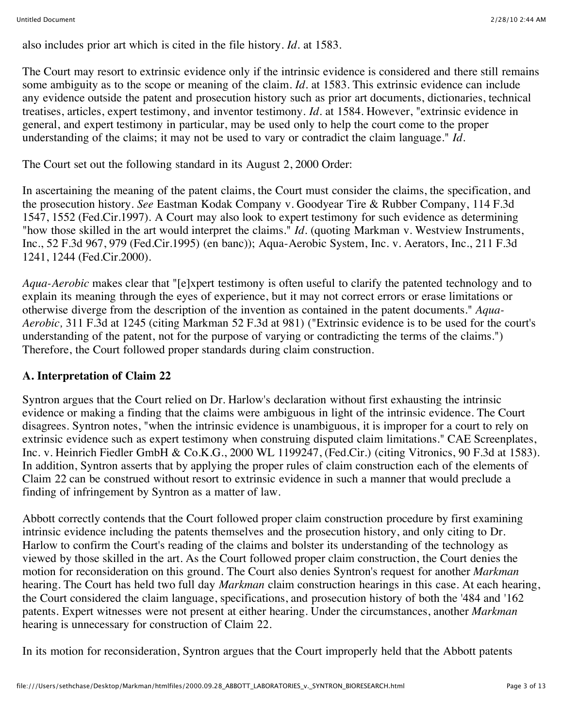also includes prior art which is cited in the file history. *Id.* at 1583.

The Court may resort to extrinsic evidence only if the intrinsic evidence is considered and there still remains some ambiguity as to the scope or meaning of the claim. *Id.* at 1583. This extrinsic evidence can include any evidence outside the patent and prosecution history such as prior art documents, dictionaries, technical treatises, articles, expert testimony, and inventor testimony. *Id.* at 1584. However, "extrinsic evidence in general, and expert testimony in particular, may be used only to help the court come to the proper understanding of the claims; it may not be used to vary or contradict the claim language." *Id.*

The Court set out the following standard in its August 2, 2000 Order:

In ascertaining the meaning of the patent claims, the Court must consider the claims, the specification, and the prosecution history. *See* Eastman Kodak Company v. Goodyear Tire & Rubber Company, 114 F.3d 1547, 1552 (Fed.Cir.1997). A Court may also look to expert testimony for such evidence as determining "how those skilled in the art would interpret the claims." *Id.* (quoting Markman v. Westview Instruments, Inc., 52 F.3d 967, 979 (Fed.Cir.1995) (en banc)); Aqua-Aerobic System, Inc. v. Aerators, Inc., 211 F.3d 1241, 1244 (Fed.Cir.2000).

*Aqua-Aerobic* makes clear that "[e]xpert testimony is often useful to clarify the patented technology and to explain its meaning through the eyes of experience, but it may not correct errors or erase limitations or otherwise diverge from the description of the invention as contained in the patent documents." *Aqua-Aerobic,* 311 F.3d at 1245 (citing Markman 52 F.3d at 981) ("Extrinsic evidence is to be used for the court's understanding of the patent, not for the purpose of varying or contradicting the terms of the claims.") Therefore, the Court followed proper standards during claim construction.

## **A. Interpretation of Claim 22**

Syntron argues that the Court relied on Dr. Harlow's declaration without first exhausting the intrinsic evidence or making a finding that the claims were ambiguous in light of the intrinsic evidence. The Court disagrees. Syntron notes, "when the intrinsic evidence is unambiguous, it is improper for a court to rely on extrinsic evidence such as expert testimony when construing disputed claim limitations." CAE Screenplates, Inc. v. Heinrich Fiedler GmbH & Co.K.G., 2000 WL 1199247, (Fed.Cir.) (citing Vitronics, 90 F.3d at 1583). In addition, Syntron asserts that by applying the proper rules of claim construction each of the elements of Claim 22 can be construed without resort to extrinsic evidence in such a manner that would preclude a finding of infringement by Syntron as a matter of law.

Abbott correctly contends that the Court followed proper claim construction procedure by first examining intrinsic evidence including the patents themselves and the prosecution history, and only citing to Dr. Harlow to confirm the Court's reading of the claims and bolster its understanding of the technology as viewed by those skilled in the art. As the Court followed proper claim construction, the Court denies the motion for reconsideration on this ground. The Court also denies Syntron's request for another *Markman* hearing. The Court has held two full day *Markman* claim construction hearings in this case. At each hearing, the Court considered the claim language, specifications, and prosecution history of both the '484 and '162 patents. Expert witnesses were not present at either hearing. Under the circumstances, another *Markman* hearing is unnecessary for construction of Claim 22.

In its motion for reconsideration, Syntron argues that the Court improperly held that the Abbott patents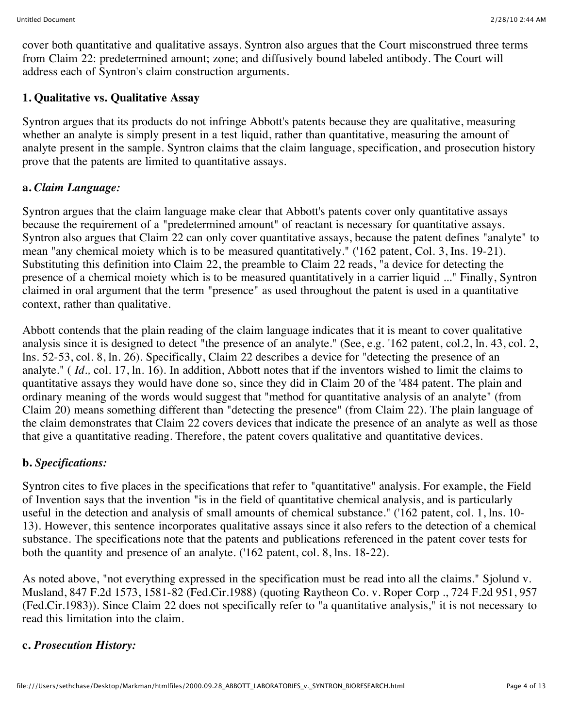cover both quantitative and qualitative assays. Syntron also argues that the Court misconstrued three terms from Claim 22: predetermined amount; zone; and diffusively bound labeled antibody. The Court will address each of Syntron's claim construction arguments.

### **1. Qualitative vs. Qualitative Assay**

Syntron argues that its products do not infringe Abbott's patents because they are qualitative, measuring whether an analyte is simply present in a test liquid, rather than quantitative, measuring the amount of analyte present in the sample. Syntron claims that the claim language, specification, and prosecution history prove that the patents are limited to quantitative assays.

#### **a.** *Claim Language:*

Syntron argues that the claim language make clear that Abbott's patents cover only quantitative assays because the requirement of a "predetermined amount" of reactant is necessary for quantitative assays. Syntron also argues that Claim 22 can only cover quantitative assays, because the patent defines "analyte" to mean "any chemical moiety which is to be measured quantitatively." ('162 patent, Col. 3, Ins. 19-21). Substituting this definition into Claim 22, the preamble to Claim 22 reads, "a device for detecting the presence of a chemical moiety which is to be measured quantitatively in a carrier liquid ..." Finally, Syntron claimed in oral argument that the term "presence" as used throughout the patent is used in a quantitative context, rather than qualitative.

Abbott contends that the plain reading of the claim language indicates that it is meant to cover qualitative analysis since it is designed to detect "the presence of an analyte." (See, e.g. '162 patent, col.2, ln. 43, col. 2, lns. 52-53, col. 8, ln. 26). Specifically, Claim 22 describes a device for "detecting the presence of an analyte." ( *Id.,* col. 17, ln. 16). In addition, Abbott notes that if the inventors wished to limit the claims to quantitative assays they would have done so, since they did in Claim 20 of the '484 patent. The plain and ordinary meaning of the words would suggest that "method for quantitative analysis of an analyte" (from Claim 20) means something different than "detecting the presence" (from Claim 22). The plain language of the claim demonstrates that Claim 22 covers devices that indicate the presence of an analyte as well as those that give a quantitative reading. Therefore, the patent covers qualitative and quantitative devices.

## **b.** *Specifications:*

Syntron cites to five places in the specifications that refer to "quantitative" analysis. For example, the Field of Invention says that the invention "is in the field of quantitative chemical analysis, and is particularly useful in the detection and analysis of small amounts of chemical substance." ('162 patent, col. 1, lns. 10- 13). However, this sentence incorporates qualitative assays since it also refers to the detection of a chemical substance. The specifications note that the patents and publications referenced in the patent cover tests for both the quantity and presence of an analyte. ('162 patent, col. 8, lns. 18-22).

As noted above, "not everything expressed in the specification must be read into all the claims." Sjolund v. Musland, 847 F.2d 1573, 1581-82 (Fed.Cir.1988) (quoting Raytheon Co. v. Roper Corp ., 724 F.2d 951, 957 (Fed.Cir.1983)). Since Claim 22 does not specifically refer to "a quantitative analysis," it is not necessary to read this limitation into the claim.

#### **c.** *Prosecution History:*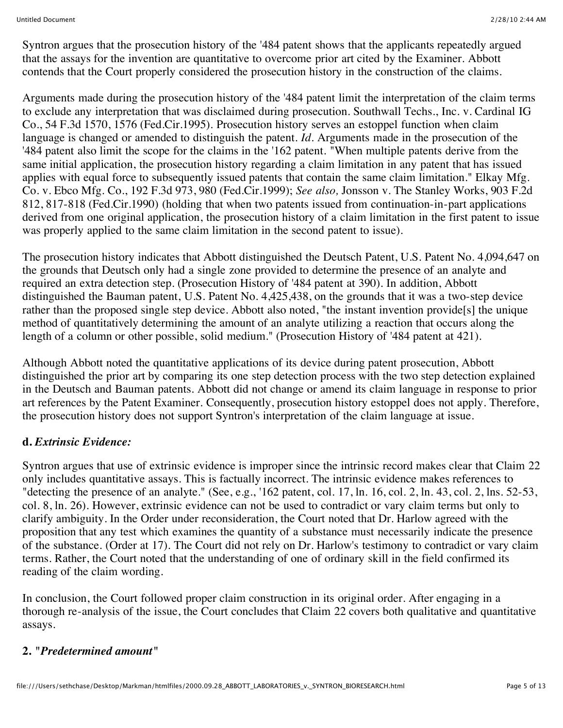Syntron argues that the prosecution history of the '484 patent shows that the applicants repeatedly argued that the assays for the invention are quantitative to overcome prior art cited by the Examiner. Abbott contends that the Court properly considered the prosecution history in the construction of the claims.

Arguments made during the prosecution history of the '484 patent limit the interpretation of the claim terms to exclude any interpretation that was disclaimed during prosecution. Southwall Techs., Inc. v. Cardinal IG Co., 54 F.3d 1570, 1576 (Fed.Cir.1995). Prosecution history serves an estoppel function when claim language is changed or amended to distinguish the patent. *Id.* Arguments made in the prosecution of the '484 patent also limit the scope for the claims in the '162 patent. "When multiple patents derive from the same initial application, the prosecution history regarding a claim limitation in any patent that has issued applies with equal force to subsequently issued patents that contain the same claim limitation." Elkay Mfg. Co. v. Ebco Mfg. Co., 192 F.3d 973, 980 (Fed.Cir.1999); *See also,* Jonsson v. The Stanley Works, 903 F.2d 812, 817-818 (Fed.Cir.1990) (holding that when two patents issued from continuation-in-part applications derived from one original application, the prosecution history of a claim limitation in the first patent to issue was properly applied to the same claim limitation in the second patent to issue).

The prosecution history indicates that Abbott distinguished the Deutsch Patent, U.S. Patent No. 4,094,647 on the grounds that Deutsch only had a single zone provided to determine the presence of an analyte and required an extra detection step. (Prosecution History of '484 patent at 390). In addition, Abbott distinguished the Bauman patent, U.S. Patent No. 4,425,438, on the grounds that it was a two-step device rather than the proposed single step device. Abbott also noted, "the instant invention provide[s] the unique method of quantitatively determining the amount of an analyte utilizing a reaction that occurs along the length of a column or other possible, solid medium." (Prosecution History of '484 patent at 421).

Although Abbott noted the quantitative applications of its device during patent prosecution, Abbott distinguished the prior art by comparing its one step detection process with the two step detection explained in the Deutsch and Bauman patents. Abbott did not change or amend its claim language in response to prior art references by the Patent Examiner. Consequently, prosecution history estoppel does not apply. Therefore, the prosecution history does not support Syntron's interpretation of the claim language at issue.

#### **d.** *Extrinsic Evidence:*

Syntron argues that use of extrinsic evidence is improper since the intrinsic record makes clear that Claim 22 only includes quantitative assays. This is factually incorrect. The intrinsic evidence makes references to "detecting the presence of an analyte." (See, e.g., '162 patent, col. 17, ln. 16, col. 2, ln. 43, col. 2, lns. 52-53, col. 8, ln. 26). However, extrinsic evidence can not be used to contradict or vary claim terms but only to clarify ambiguity. In the Order under reconsideration, the Court noted that Dr. Harlow agreed with the proposition that any test which examines the quantity of a substance must necessarily indicate the presence of the substance. (Order at 17). The Court did not rely on Dr. Harlow's testimony to contradict or vary claim terms. Rather, the Court noted that the understanding of one of ordinary skill in the field confirmed its reading of the claim wording.

In conclusion, the Court followed proper claim construction in its original order. After engaging in a thorough re-analysis of the issue, the Court concludes that Claim 22 covers both qualitative and quantitative assays.

#### **2.** *"Predetermined amount"*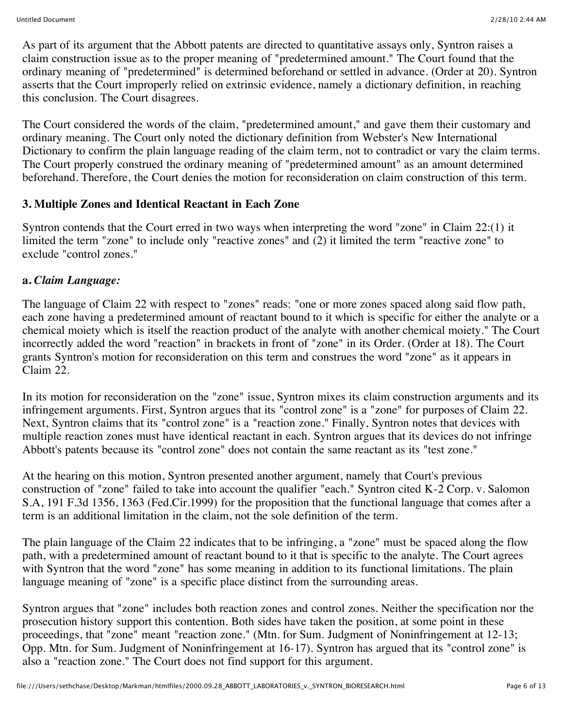As part of its argument that the Abbott patents are directed to quantitative assays only, Syntron raises a claim construction issue as to the proper meaning of "predetermined amount." The Court found that the ordinary meaning of "predetermined" is determined beforehand or settled in advance. (Order at 20). Syntron asserts that the Court improperly relied on extrinsic evidence, namely a dictionary definition, in reaching this conclusion. The Court disagrees.

The Court considered the words of the claim, "predetermined amount," and gave them their customary and ordinary meaning. The Court only noted the dictionary definition from Webster's New International Dictionary to confirm the plain language reading of the claim term, not to contradict or vary the claim terms. The Court properly construed the ordinary meaning of "predetermined amount" as an amount determined beforehand. Therefore, the Court denies the motion for reconsideration on claim construction of this term.

#### **3. Multiple Zones and Identical Reactant in Each Zone**

Syntron contends that the Court erred in two ways when interpreting the word "zone" in Claim 22:(1) it limited the term "zone" to include only "reactive zones" and (2) it limited the term "reactive zone" to exclude "control zones."

#### **a.** *Claim Language:*

The language of Claim 22 with respect to "zones" reads: "one or more zones spaced along said flow path, each zone having a predetermined amount of reactant bound to it which is specific for either the analyte or a chemical moiety which is itself the reaction product of the analyte with another chemical moiety." The Court incorrectly added the word "reaction" in brackets in front of "zone" in its Order. (Order at 18). The Court grants Syntron's motion for reconsideration on this term and construes the word "zone" as it appears in Claim 22.

In its motion for reconsideration on the "zone" issue, Syntron mixes its claim construction arguments and its infringement arguments. First, Syntron argues that its "control zone" is a "zone" for purposes of Claim 22. Next, Syntron claims that its "control zone" is a "reaction zone." Finally, Syntron notes that devices with multiple reaction zones must have identical reactant in each. Syntron argues that its devices do not infringe Abbott's patents because its "control zone" does not contain the same reactant as its "test zone."

At the hearing on this motion, Syntron presented another argument, namely that Court's previous construction of "zone" failed to take into account the qualifier "each." Syntron cited K-2 Corp. v. Salomon S.A, 191 F.3d 1356, 1363 (Fed.Cir.1999) for the proposition that the functional language that comes after a term is an additional limitation in the claim, not the sole definition of the term.

The plain language of the Claim 22 indicates that to be infringing, a "zone" must be spaced along the flow path, with a predetermined amount of reactant bound to it that is specific to the analyte. The Court agrees with Syntron that the word "zone" has some meaning in addition to its functional limitations. The plain language meaning of "zone" is a specific place distinct from the surrounding areas.

Syntron argues that "zone" includes both reaction zones and control zones. Neither the specification nor the prosecution history support this contention. Both sides have taken the position, at some point in these proceedings, that "zone" meant "reaction zone." (Mtn. for Sum. Judgment of Noninfringement at 12-13; Opp. Mtn. for Sum. Judgment of Noninfringement at 16-17). Syntron has argued that its "control zone" is also a "reaction zone." The Court does not find support for this argument.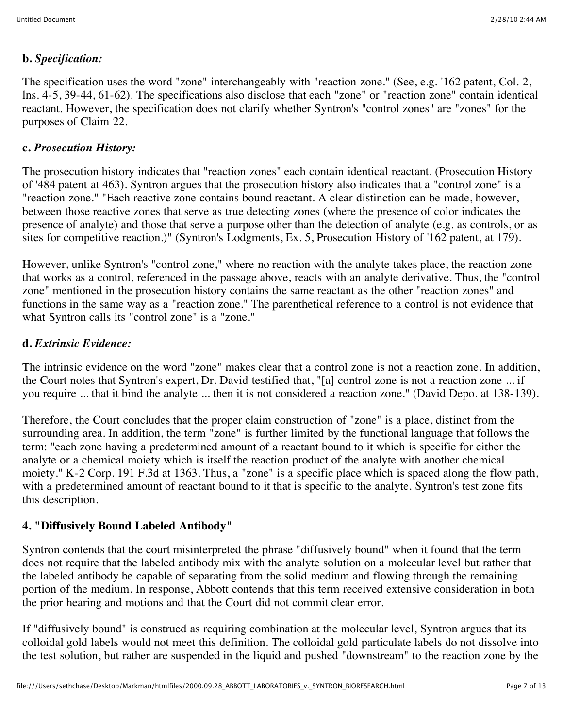#### **b.** *Specification:*

The specification uses the word "zone" interchangeably with "reaction zone." (See, e.g. '162 patent, Col. 2, lns. 4-5, 39-44, 61-62). The specifications also disclose that each "zone" or "reaction zone" contain identical reactant. However, the specification does not clarify whether Syntron's "control zones" are "zones" for the purposes of Claim 22.

### **c.** *Prosecution History:*

The prosecution history indicates that "reaction zones" each contain identical reactant. (Prosecution History of '484 patent at 463). Syntron argues that the prosecution history also indicates that a "control zone" is a "reaction zone." "Each reactive zone contains bound reactant. A clear distinction can be made, however, between those reactive zones that serve as true detecting zones (where the presence of color indicates the presence of analyte) and those that serve a purpose other than the detection of analyte (e.g. as controls, or as sites for competitive reaction.)" (Syntron's Lodgments, Ex. 5, Prosecution History of '162 patent, at 179).

However, unlike Syntron's "control zone," where no reaction with the analyte takes place, the reaction zone that works as a control, referenced in the passage above, reacts with an analyte derivative. Thus, the "control zone" mentioned in the prosecution history contains the same reactant as the other "reaction zones" and functions in the same way as a "reaction zone." The parenthetical reference to a control is not evidence that what Syntron calls its "control zone" is a "zone."

#### **d.** *Extrinsic Evidence:*

The intrinsic evidence on the word "zone" makes clear that a control zone is not a reaction zone. In addition, the Court notes that Syntron's expert, Dr. David testified that, "[a] control zone is not a reaction zone ... if you require ... that it bind the analyte ... then it is not considered a reaction zone." (David Depo. at 138-139).

Therefore, the Court concludes that the proper claim construction of "zone" is a place, distinct from the surrounding area. In addition, the term "zone" is further limited by the functional language that follows the term: "each zone having a predetermined amount of a reactant bound to it which is specific for either the analyte or a chemical moiety which is itself the reaction product of the analyte with another chemical moiety." K-2 Corp. 191 F.3d at 1363. Thus, a "zone" is a specific place which is spaced along the flow path, with a predetermined amount of reactant bound to it that is specific to the analyte. Syntron's test zone fits this description.

## **4. "Diffusively Bound Labeled Antibody"**

Syntron contends that the court misinterpreted the phrase "diffusively bound" when it found that the term does not require that the labeled antibody mix with the analyte solution on a molecular level but rather that the labeled antibody be capable of separating from the solid medium and flowing through the remaining portion of the medium. In response, Abbott contends that this term received extensive consideration in both the prior hearing and motions and that the Court did not commit clear error.

If "diffusively bound" is construed as requiring combination at the molecular level, Syntron argues that its colloidal gold labels would not meet this definition. The colloidal gold particulate labels do not dissolve into the test solution, but rather are suspended in the liquid and pushed "downstream" to the reaction zone by the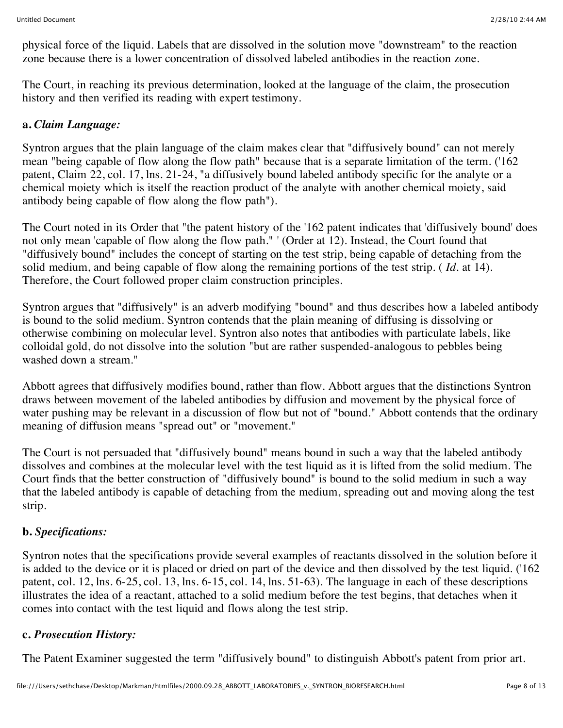physical force of the liquid. Labels that are dissolved in the solution move "downstream" to the reaction zone because there is a lower concentration of dissolved labeled antibodies in the reaction zone.

The Court, in reaching its previous determination, looked at the language of the claim, the prosecution history and then verified its reading with expert testimony.

### **a.** *Claim Language:*

Syntron argues that the plain language of the claim makes clear that "diffusively bound" can not merely mean "being capable of flow along the flow path" because that is a separate limitation of the term. ('162 patent, Claim 22, col. 17, lns. 21-24, "a diffusively bound labeled antibody specific for the analyte or a chemical moiety which is itself the reaction product of the analyte with another chemical moiety, said antibody being capable of flow along the flow path").

The Court noted in its Order that "the patent history of the '162 patent indicates that 'diffusively bound' does not only mean 'capable of flow along the flow path." ' (Order at 12). Instead, the Court found that "diffusively bound" includes the concept of starting on the test strip, being capable of detaching from the solid medium, and being capable of flow along the remaining portions of the test strip. ( *Id.* at 14). Therefore, the Court followed proper claim construction principles.

Syntron argues that "diffusively" is an adverb modifying "bound" and thus describes how a labeled antibody is bound to the solid medium. Syntron contends that the plain meaning of diffusing is dissolving or otherwise combining on molecular level. Syntron also notes that antibodies with particulate labels, like colloidal gold, do not dissolve into the solution "but are rather suspended-analogous to pebbles being washed down a stream."

Abbott agrees that diffusively modifies bound, rather than flow. Abbott argues that the distinctions Syntron draws between movement of the labeled antibodies by diffusion and movement by the physical force of water pushing may be relevant in a discussion of flow but not of "bound." Abbott contends that the ordinary meaning of diffusion means "spread out" or "movement."

The Court is not persuaded that "diffusively bound" means bound in such a way that the labeled antibody dissolves and combines at the molecular level with the test liquid as it is lifted from the solid medium. The Court finds that the better construction of "diffusively bound" is bound to the solid medium in such a way that the labeled antibody is capable of detaching from the medium, spreading out and moving along the test strip.

## **b.** *Specifications:*

Syntron notes that the specifications provide several examples of reactants dissolved in the solution before it is added to the device or it is placed or dried on part of the device and then dissolved by the test liquid. ('162 patent, col. 12, lns. 6-25, col. 13, lns. 6-15, col. 14, lns. 51-63). The language in each of these descriptions illustrates the idea of a reactant, attached to a solid medium before the test begins, that detaches when it comes into contact with the test liquid and flows along the test strip.

## **c.** *Prosecution History:*

The Patent Examiner suggested the term "diffusively bound" to distinguish Abbott's patent from prior art.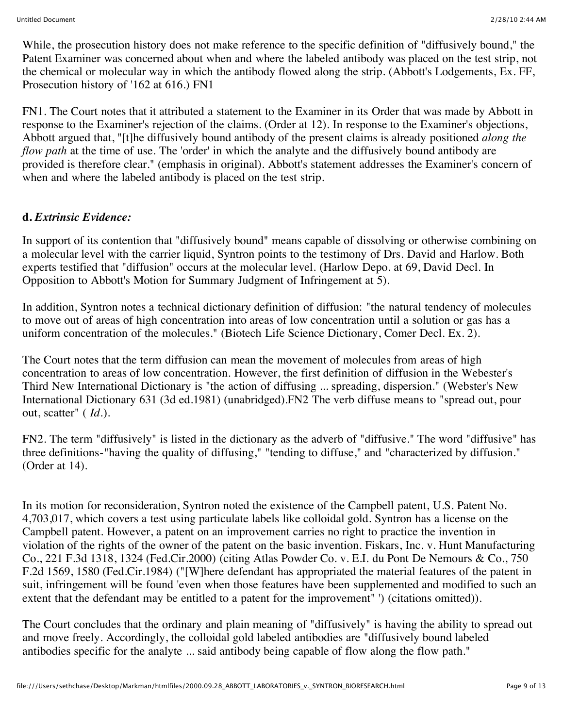While, the prosecution history does not make reference to the specific definition of "diffusively bound," the Patent Examiner was concerned about when and where the labeled antibody was placed on the test strip, not the chemical or molecular way in which the antibody flowed along the strip. (Abbott's Lodgements, Ex. FF, Prosecution history of '162 at 616.) FN1

FN1. The Court notes that it attributed a statement to the Examiner in its Order that was made by Abbott in response to the Examiner's rejection of the claims. (Order at 12). In response to the Examiner's objections, Abbott argued that, "[t]he diffusively bound antibody of the present claims is already positioned *along the flow path* at the time of use. The 'order' in which the analyte and the diffusively bound antibody are provided is therefore clear." (emphasis in original). Abbott's statement addresses the Examiner's concern of when and where the labeled antibody is placed on the test strip.

#### **d.** *Extrinsic Evidence:*

In support of its contention that "diffusively bound" means capable of dissolving or otherwise combining on a molecular level with the carrier liquid, Syntron points to the testimony of Drs. David and Harlow. Both experts testified that "diffusion" occurs at the molecular level. (Harlow Depo. at 69, David Decl. In Opposition to Abbott's Motion for Summary Judgment of Infringement at 5).

In addition, Syntron notes a technical dictionary definition of diffusion: "the natural tendency of molecules to move out of areas of high concentration into areas of low concentration until a solution or gas has a uniform concentration of the molecules." (Biotech Life Science Dictionary, Comer Decl. Ex. 2).

The Court notes that the term diffusion can mean the movement of molecules from areas of high concentration to areas of low concentration. However, the first definition of diffusion in the Webester's Third New International Dictionary is "the action of diffusing ... spreading, dispersion." (Webster's New International Dictionary 631 (3d ed.1981) (unabridged).FN2 The verb diffuse means to "spread out, pour out, scatter" ( *Id.*).

FN2. The term "diffusively" is listed in the dictionary as the adverb of "diffusive." The word "diffusive" has three definitions-"having the quality of diffusing," "tending to diffuse," and "characterized by diffusion." (Order at 14).

In its motion for reconsideration, Syntron noted the existence of the Campbell patent, U.S. Patent No. 4,703,017, which covers a test using particulate labels like colloidal gold. Syntron has a license on the Campbell patent. However, a patent on an improvement carries no right to practice the invention in violation of the rights of the owner of the patent on the basic invention. Fiskars, Inc. v. Hunt Manufacturing Co., 221 F.3d 1318, 1324 (Fed.Cir.2000) (citing Atlas Powder Co. v. E.I. du Pont De Nemours & Co., 750 F.2d 1569, 1580 (Fed.Cir.1984) ("[W]here defendant has appropriated the material features of the patent in suit, infringement will be found 'even when those features have been supplemented and modified to such an extent that the defendant may be entitled to a patent for the improvement" ') (citations omitted)).

The Court concludes that the ordinary and plain meaning of "diffusively" is having the ability to spread out and move freely. Accordingly, the colloidal gold labeled antibodies are "diffusively bound labeled antibodies specific for the analyte ... said antibody being capable of flow along the flow path."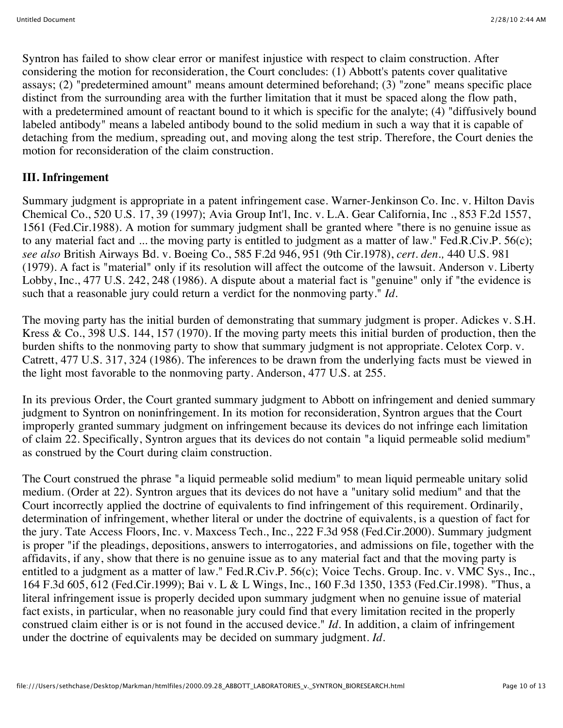Syntron has failed to show clear error or manifest injustice with respect to claim construction. After considering the motion for reconsideration, the Court concludes: (1) Abbott's patents cover qualitative assays; (2) "predetermined amount" means amount determined beforehand; (3) "zone" means specific place distinct from the surrounding area with the further limitation that it must be spaced along the flow path, with a predetermined amount of reactant bound to it which is specific for the analyte; (4) "diffusively bound labeled antibody" means a labeled antibody bound to the solid medium in such a way that it is capable of detaching from the medium, spreading out, and moving along the test strip. Therefore, the Court denies the motion for reconsideration of the claim construction.

### **III. Infringement**

Summary judgment is appropriate in a patent infringement case. Warner-Jenkinson Co. Inc. v. Hilton Davis Chemical Co., 520 U.S. 17, 39 (1997); Avia Group Int'l, Inc. v. L.A. Gear California, Inc ., 853 F.2d 1557, 1561 (Fed.Cir.1988). A motion for summary judgment shall be granted where "there is no genuine issue as to any material fact and ... the moving party is entitled to judgment as a matter of law." Fed.R.Civ.P. 56(c); *see also* British Airways Bd. v. Boeing Co., 585 F.2d 946, 951 (9th Cir.1978), *cert. den.,* 440 U.S. 981 (1979). A fact is "material" only if its resolution will affect the outcome of the lawsuit. Anderson v. Liberty Lobby, Inc., 477 U.S. 242, 248 (1986). A dispute about a material fact is "genuine" only if "the evidence is such that a reasonable jury could return a verdict for the nonmoving party." *Id.*

The moving party has the initial burden of demonstrating that summary judgment is proper. Adickes v. S.H. Kress & Co., 398 U.S. 144, 157 (1970). If the moving party meets this initial burden of production, then the burden shifts to the nonmoving party to show that summary judgment is not appropriate. Celotex Corp. v. Catrett, 477 U.S. 317, 324 (1986). The inferences to be drawn from the underlying facts must be viewed in the light most favorable to the nonmoving party. Anderson, 477 U.S. at 255.

In its previous Order, the Court granted summary judgment to Abbott on infringement and denied summary judgment to Syntron on noninfringement. In its motion for reconsideration, Syntron argues that the Court improperly granted summary judgment on infringement because its devices do not infringe each limitation of claim 22. Specifically, Syntron argues that its devices do not contain "a liquid permeable solid medium" as construed by the Court during claim construction.

The Court construed the phrase "a liquid permeable solid medium" to mean liquid permeable unitary solid medium. (Order at 22). Syntron argues that its devices do not have a "unitary solid medium" and that the Court incorrectly applied the doctrine of equivalents to find infringement of this requirement. Ordinarily, determination of infringement, whether literal or under the doctrine of equivalents, is a question of fact for the jury. Tate Access Floors, Inc. v. Maxcess Tech., Inc., 222 F.3d 958 (Fed.Cir.2000). Summary judgment is proper "if the pleadings, depositions, answers to interrogatories, and admissions on file, together with the affidavits, if any, show that there is no genuine issue as to any material fact and that the moving party is entitled to a judgment as a matter of law." Fed.R.Civ.P. 56(c); Voice Techs. Group. Inc. v. VMC Sys., Inc., 164 F.3d 605, 612 (Fed.Cir.1999); Bai v. L & L Wings, Inc., 160 F.3d 1350, 1353 (Fed.Cir.1998). "Thus, a literal infringement issue is properly decided upon summary judgment when no genuine issue of material fact exists, in particular, when no reasonable jury could find that every limitation recited in the properly construed claim either is or is not found in the accused device." *Id.* In addition, a claim of infringement under the doctrine of equivalents may be decided on summary judgment. *Id.*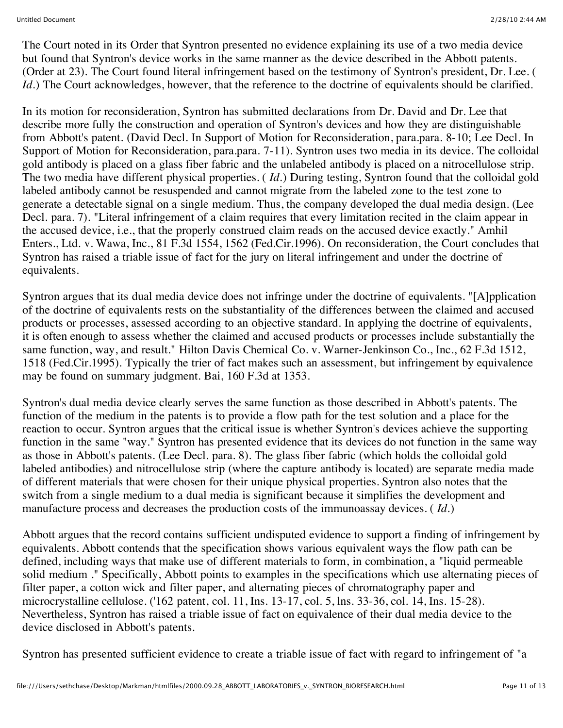The Court noted in its Order that Syntron presented no evidence explaining its use of a two media device but found that Syntron's device works in the same manner as the device described in the Abbott patents. (Order at 23). The Court found literal infringement based on the testimony of Syntron's president, Dr. Lee. ( *Id.*) The Court acknowledges, however, that the reference to the doctrine of equivalents should be clarified.

In its motion for reconsideration, Syntron has submitted declarations from Dr. David and Dr. Lee that describe more fully the construction and operation of Syntron's devices and how they are distinguishable from Abbott's patent. (David Decl. In Support of Motion for Reconsideration, para.para. 8-10; Lee Decl. In Support of Motion for Reconsideration, para.para. 7-11). Syntron uses two media in its device. The colloidal gold antibody is placed on a glass fiber fabric and the unlabeled antibody is placed on a nitrocellulose strip. The two media have different physical properties. ( *Id.*) During testing, Syntron found that the colloidal gold labeled antibody cannot be resuspended and cannot migrate from the labeled zone to the test zone to generate a detectable signal on a single medium. Thus, the company developed the dual media design. (Lee Decl. para. 7). "Literal infringement of a claim requires that every limitation recited in the claim appear in the accused device, i.e., that the properly construed claim reads on the accused device exactly." Amhil Enters., Ltd. v. Wawa, Inc., 81 F.3d 1554, 1562 (Fed.Cir.1996). On reconsideration, the Court concludes that Syntron has raised a triable issue of fact for the jury on literal infringement and under the doctrine of equivalents.

Syntron argues that its dual media device does not infringe under the doctrine of equivalents. "[A]pplication of the doctrine of equivalents rests on the substantiality of the differences between the claimed and accused products or processes, assessed according to an objective standard. In applying the doctrine of equivalents, it is often enough to assess whether the claimed and accused products or processes include substantially the same function, way, and result." Hilton Davis Chemical Co. v. Warner-Jenkinson Co., Inc., 62 F.3d 1512, 1518 (Fed.Cir.1995). Typically the trier of fact makes such an assessment, but infringement by equivalence may be found on summary judgment. Bai, 160 F.3d at 1353.

Syntron's dual media device clearly serves the same function as those described in Abbott's patents. The function of the medium in the patents is to provide a flow path for the test solution and a place for the reaction to occur. Syntron argues that the critical issue is whether Syntron's devices achieve the supporting function in the same "way." Syntron has presented evidence that its devices do not function in the same way as those in Abbott's patents. (Lee Decl. para. 8). The glass fiber fabric (which holds the colloidal gold labeled antibodies) and nitrocellulose strip (where the capture antibody is located) are separate media made of different materials that were chosen for their unique physical properties. Syntron also notes that the switch from a single medium to a dual media is significant because it simplifies the development and manufacture process and decreases the production costs of the immunoassay devices. ( *Id.*)

Abbott argues that the record contains sufficient undisputed evidence to support a finding of infringement by equivalents. Abbott contends that the specification shows various equivalent ways the flow path can be defined, including ways that make use of different materials to form, in combination, a "liquid permeable solid medium ." Specifically, Abbott points to examples in the specifications which use alternating pieces of filter paper, a cotton wick and filter paper, and alternating pieces of chromatography paper and microcrystalline cellulose. ('162 patent, col. 11, Ins. 13-17, col. 5, lns. 33-36, col. 14, Ins. 15-28). Nevertheless, Syntron has raised a triable issue of fact on equivalence of their dual media device to the device disclosed in Abbott's patents.

Syntron has presented sufficient evidence to create a triable issue of fact with regard to infringement of "a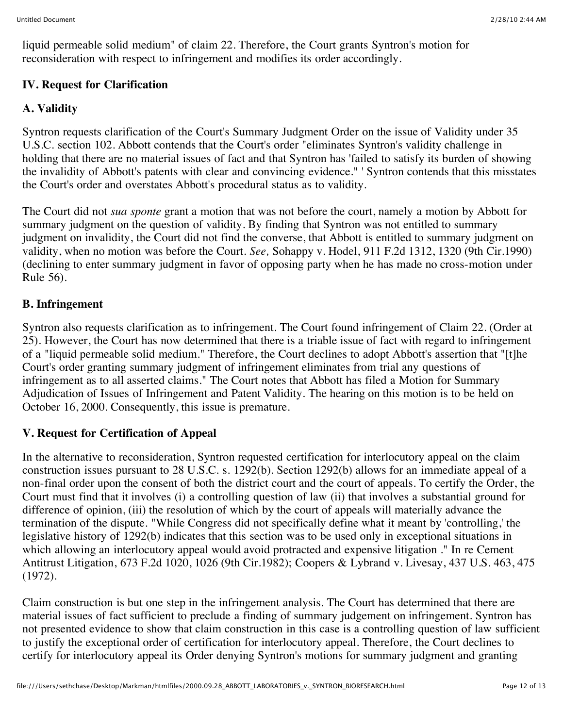liquid permeable solid medium" of claim 22. Therefore, the Court grants Syntron's motion for reconsideration with respect to infringement and modifies its order accordingly.

### **IV. Request for Clarification**

# **A. Validity**

Syntron requests clarification of the Court's Summary Judgment Order on the issue of Validity under 35 U.S.C. section 102. Abbott contends that the Court's order "eliminates Syntron's validity challenge in holding that there are no material issues of fact and that Syntron has 'failed to satisfy its burden of showing the invalidity of Abbott's patents with clear and convincing evidence." ' Syntron contends that this misstates the Court's order and overstates Abbott's procedural status as to validity.

The Court did not *sua sponte* grant a motion that was not before the court, namely a motion by Abbott for summary judgment on the question of validity. By finding that Syntron was not entitled to summary judgment on invalidity, the Court did not find the converse, that Abbott is entitled to summary judgment on validity, when no motion was before the Court. *See,* Sohappy v. Hodel, 911 F.2d 1312, 1320 (9th Cir.1990) (declining to enter summary judgment in favor of opposing party when he has made no cross-motion under Rule 56).

# **B. Infringement**

Syntron also requests clarification as to infringement. The Court found infringement of Claim 22. (Order at 25). However, the Court has now determined that there is a triable issue of fact with regard to infringement of a "liquid permeable solid medium." Therefore, the Court declines to adopt Abbott's assertion that "[t]he Court's order granting summary judgment of infringement eliminates from trial any questions of infringement as to all asserted claims." The Court notes that Abbott has filed a Motion for Summary Adjudication of Issues of Infringement and Patent Validity. The hearing on this motion is to be held on October 16, 2000. Consequently, this issue is premature.

# **V. Request for Certification of Appeal**

In the alternative to reconsideration, Syntron requested certification for interlocutory appeal on the claim construction issues pursuant to 28 U.S.C. s. 1292(b). Section 1292(b) allows for an immediate appeal of a non-final order upon the consent of both the district court and the court of appeals. To certify the Order, the Court must find that it involves (i) a controlling question of law (ii) that involves a substantial ground for difference of opinion, (iii) the resolution of which by the court of appeals will materially advance the termination of the dispute. "While Congress did not specifically define what it meant by 'controlling,' the legislative history of 1292(b) indicates that this section was to be used only in exceptional situations in which allowing an interlocutory appeal would avoid protracted and expensive litigation ." In re Cement Antitrust Litigation, 673 F.2d 1020, 1026 (9th Cir.1982); Coopers & Lybrand v. Livesay, 437 U.S. 463, 475 (1972).

Claim construction is but one step in the infringement analysis. The Court has determined that there are material issues of fact sufficient to preclude a finding of summary judgement on infringement. Syntron has not presented evidence to show that claim construction in this case is a controlling question of law sufficient to justify the exceptional order of certification for interlocutory appeal. Therefore, the Court declines to certify for interlocutory appeal its Order denying Syntron's motions for summary judgment and granting